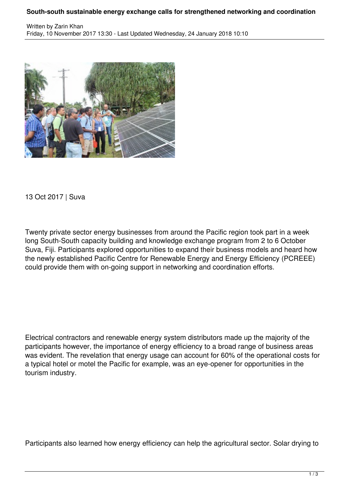## **South-south sustainable energy exchange calls for strengthened networking and coordination**



13 Oct 2017 | Suva

Twenty private sector energy businesses from around the Pacific region took part in a week long South-South capacity building and knowledge exchange program from 2 to 6 October Suva, Fiji. Participants explored opportunities to expand their business models and heard how the newly established Pacific Centre for Renewable Energy and Energy Efficiency (PCREEE) could provide them with on-going support in networking and coordination efforts.

Electrical contractors and renewable energy system distributors made up the majority of the participants however, the importance of energy efficiency to a broad range of business areas was evident. The revelation that energy usage can account for 60% of the operational costs for a typical hotel or motel the Pacific for example, was an eye-opener for opportunities in the tourism industry.

Participants also learned how energy efficiency can help the agricultural sector. Solar drying to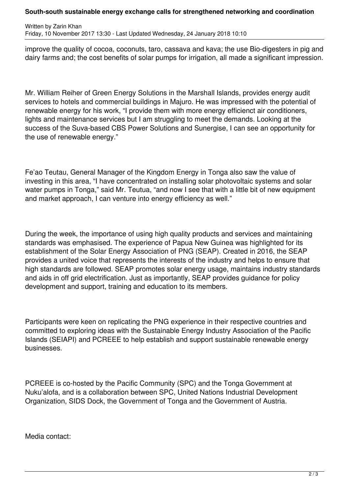## **South-south sustainable energy exchange calls for strengthened networking and coordination**

Written by Zarin Khan Friday, 10 November 2017 13:30 - Last Updated Wednesday, 24 January 2018 10:10

improve the quality of cocoa, coconuts, taro, cassava and kava; the use Bio-digesters in pig and dairy farms and; the cost benefits of solar pumps for irrigation, all made a significant impression.

Mr. William Reiher of Green Energy Solutions in the Marshall Islands, provides energy audit services to hotels and commercial buildings in Majuro. He was impressed with the potential of renewable energy for his work, "I provide them with more energy efficienct air conditioners, lights and maintenance services but I am struggling to meet the demands. Looking at the success of the Suva-based CBS Power Solutions and Sunergise, I can see an opportunity for the use of renewable energy."

Fe'ao Teutau, General Manager of the Kingdom Energy in Tonga also saw the value of investing in this area, "I have concentrated on installing solar photovoltaic systems and solar water pumps in Tonga," said Mr. Teutua, "and now I see that with a little bit of new equipment and market approach, I can venture into energy efficiency as well."

During the week, the importance of using high quality products and services and maintaining standards was emphasised. The experience of Papua New Guinea was highlighted for its establishment of the Solar Energy Association of PNG (SEAP). Created in 2016, the SEAP provides a united voice that represents the interests of the industry and helps to ensure that high standards are followed. SEAP promotes solar energy usage, maintains industry standards and aids in off grid electrification. Just as importantly, SEAP provides guidance for policy development and support, training and education to its members.

Participants were keen on replicating the PNG experience in their respective countries and committed to exploring ideas with the Sustainable Energy Industry Association of the Pacific Islands (SEIAPI) and PCREEE to help establish and support sustainable renewable energy businesses.

PCREEE is co-hosted by the Pacific Community (SPC) and the Tonga Government at Nuku'alofa, and is a collaboration between SPC, United Nations Industrial Development Organization, SIDS Dock, the Government of Tonga and the Government of Austria.

Media contact: